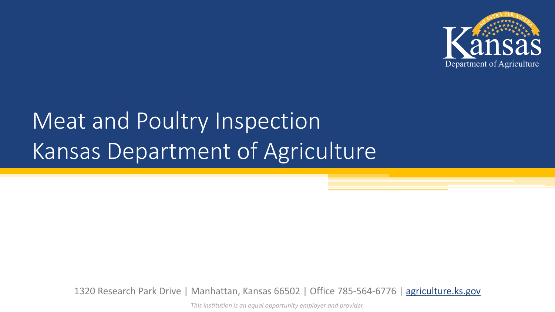

# Meat and Poultry Inspection Kansas Department of Agriculture

1320 Research Park Drive | Manhattan, Kansas 66502 | Office 785-564-6776 | [agriculture.ks.gov](http://agriculture.ks.gov/divisions-programs/meat-and-poultry-inspection)

*This institution is an equal opportunity employer and provider.*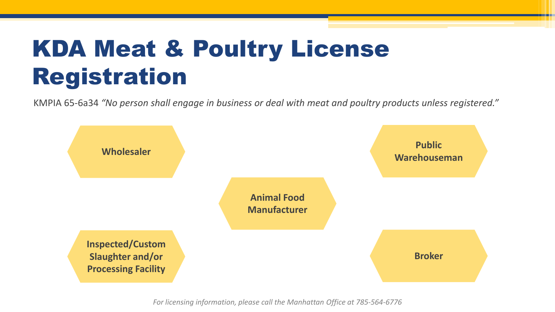### KDA Meat & Poultry License Registration

KMPIA 65-6a34 *"No person shall engage in business or deal with meat and poultry products unless registered."*



*For licensing information, please call the Manhattan Office at 785-564-6776*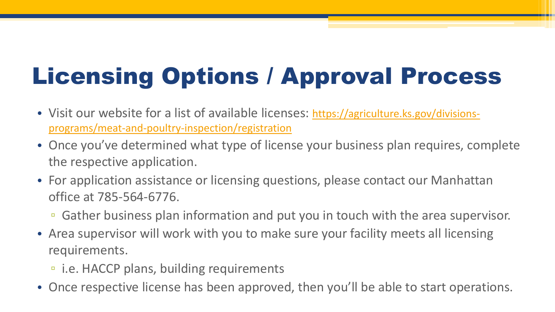# Licensing Options / Approval Process

- [Visit our website for a list of available licenses: https://agriculture.ks.gov/divisions](https://agriculture.ks.gov/divisions-programs/meat-and-poultry-inspection/registration)programs/meat-and-poultry-inspection/registration
- Once you've determined what type of license your business plan requires, complete the respective application.
- For application assistance or licensing questions, please contact our Manhattan office at 785-564-6776.
	- Gather business plan information and put you in touch with the area supervisor.
- Area supervisor will work with you to make sure your facility meets all licensing requirements.
	- i.e. HACCP plans, building requirements
- Once respective license has been approved, then you'll be able to start operations.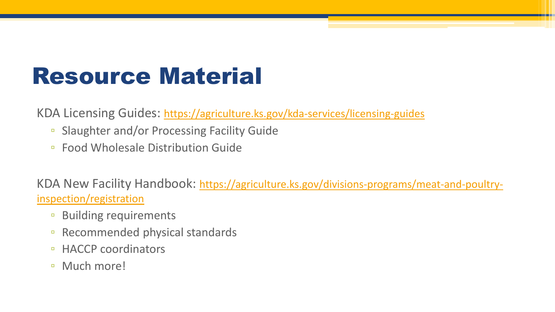### Resource Material

KDA Licensing Guides:<https://agriculture.ks.gov/kda-services/licensing-guides>

- Slaughter and/or Processing Facility Guide
- Food Wholesale Distribution Guide

[KDA New Facility Handbook: https://agriculture.ks.gov/divisions-programs/meat-and-poultry](https://agriculture.ks.gov/divisions-programs/meat-and-poultry-inspection/registration)inspection/registration

- Building requirements
- Recommended physical standards
- □ HACCP coordinators
- Much more!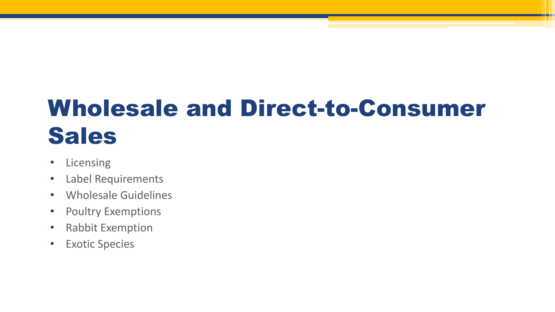# Wholesale and Direct-to-Consumer Sales

- Licensing
- Label Requirements
- Wholesale Guidelines
- Poultry Exemptions
- Rabbit Exemption
- Exotic Species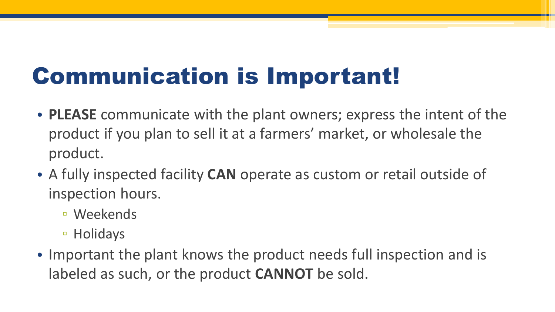### Communication is Important!

- **PLEASE** communicate with the plant owners; express the intent of the product if you plan to sell it at a farmers' market, or wholesale the product.
- A fully inspected facility **CAN** operate as custom or retail outside of inspection hours.
	- Weekends
	- Holidays
- Important the plant knows the product needs full inspection and is labeled as such, or the product **CANNOT** be sold.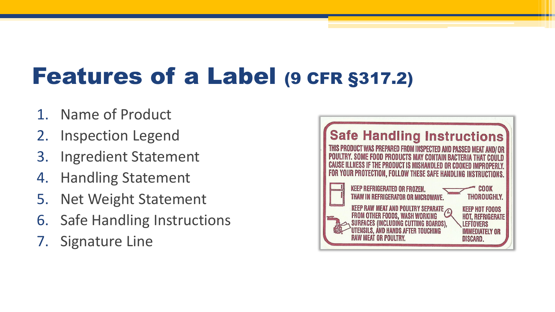### Features of a Label (9 CFR §317.2)

- 1. Name of Product
- 2. Inspection Legend
- 3. Ingredient Statement
- 4. Handling Statement
- 5. Net Weight Statement
- 6. Safe Handling Instructions
- 7. Signature Line

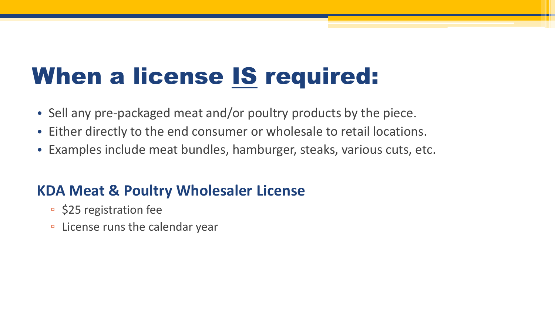### When a license IS required:

- Sell any pre-packaged meat and/or poultry products by the piece.
- Either directly to the end consumer or wholesale to retail locations.
- Examples include meat bundles, hamburger, steaks, various cuts, etc.

### **KDA Meat & Poultry Wholesaler License**

- \$25 registration fee
- License runs the calendar year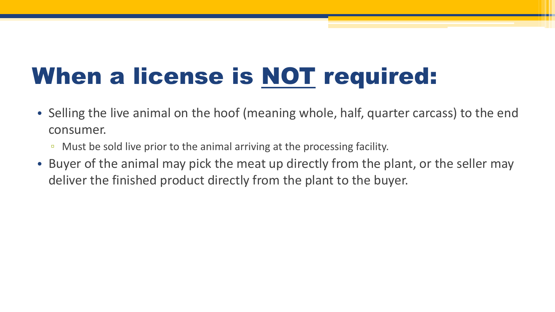# When a license is NOT required:

- Selling the live animal on the hoof (meaning whole, half, quarter carcass) to the end consumer.
	- Must be sold live prior to the animal arriving at the processing facility.
- Buyer of the animal may pick the meat up directly from the plant, or the seller may deliver the finished product directly from the plant to the buyer.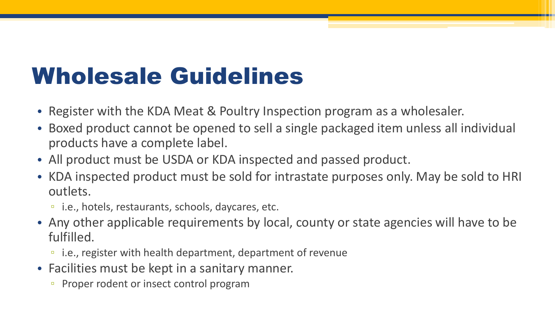### Wholesale Guidelines

- Register with the KDA Meat & Poultry Inspection program as a wholesaler.
- Boxed product cannot be opened to sell a single packaged item unless all individual products have a complete label.
- All product must be USDA or KDA inspected and passed product.
- KDA inspected product must be sold for intrastate purposes only. May be sold to HRI outlets.
	- i.e., hotels, restaurants, schools, daycares, etc.
- Any other applicable requirements by local, county or state agencies will have to be fulfilled.
	- i.e., register with health department, department of revenue
- Facilities must be kept in a sanitary manner.
	- Proper rodent or insect control program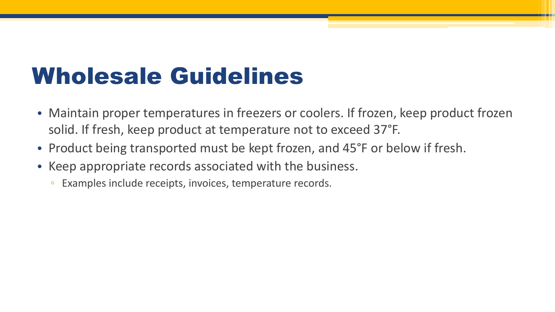### Wholesale Guidelines

- Maintain proper temperatures in freezers or coolers. If frozen, keep product frozen solid. If fresh, keep product at temperature not to exceed 37°F.
- Product being transported must be kept frozen, and 45°F or below if fresh.
- Keep appropriate records associated with the business.
	- Examples include receipts, invoices, temperature records.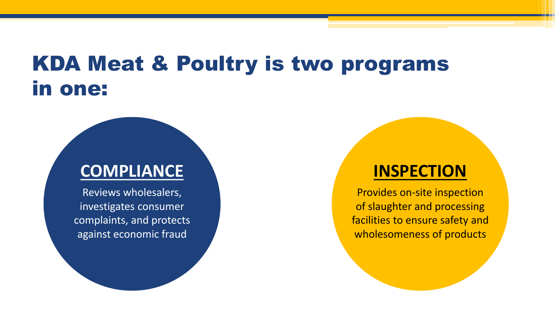### KDA Meat & Poultry is two programs in one:

### **COMPLIANCE**

Reviews wholesalers, investigates consumer complaints, and protects against economic fraud

### **INSPECTION**

Provides on-site inspection of slaughter and processing facilities to ensure safety and wholesomeness of products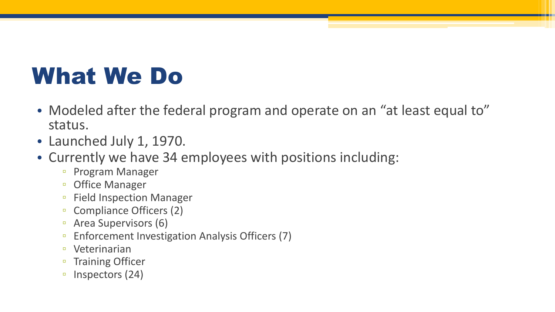### What We Do

- Modeled after the federal program and operate on an "at least equal to" status.
- Launched July 1, 1970.
- Currently we have 34 employees with positions including:
	- Program Manager
	- Office Manager
	- Field Inspection Manager
	- Compliance Officers (2)
	- Area Supervisors (6)
	- Enforcement Investigation Analysis Officers (7)
	- Veterinarian
	- Training Officer
	- Inspectors (24)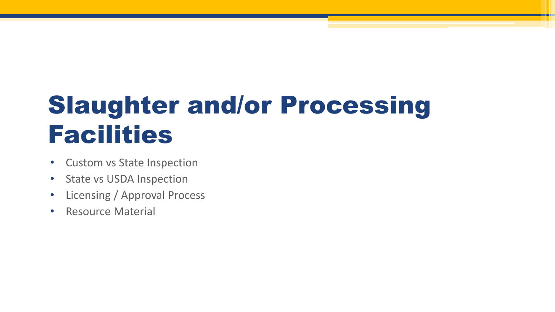# Slaughter and/or Processing Facilities

- Custom vs State Inspection
- State vs USDA Inspection
- Licensing / Approval Process
- Resource Material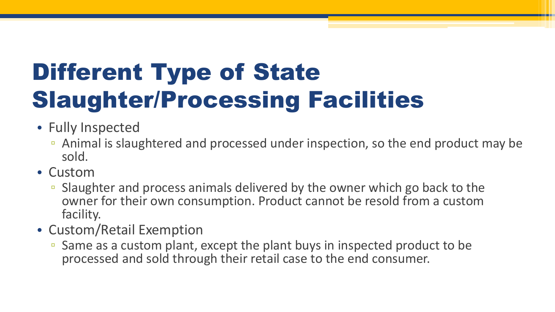# Different Type of State Slaughter/Processing Facilities

- Fully Inspected
	- Animal is slaughtered and processed under inspection, so the end product may be sold.
- Custom
	- Slaughter and process animals delivered by the owner which go back to the owner for their own consumption. Product cannot be resold from a custom facility.
- Custom/Retail Exemption
	- Same as a custom plant, except the plant buys in inspected product to be processed and sold through their retail case to the end consumer.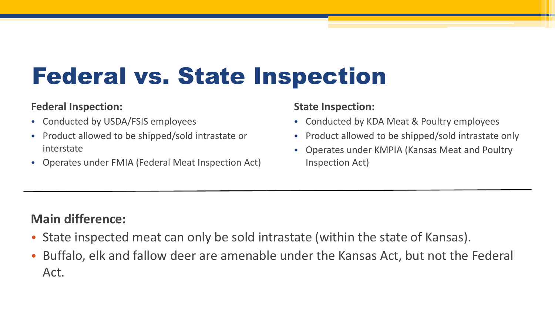### Federal vs. State Inspection

#### **Federal Inspection:**

- Conducted by USDA/FSIS employees
- Product allowed to be shipped/sold intrastate or interstate
- Operates under FMIA (Federal Meat Inspection Act)

#### **State Inspection:**

- Conducted by KDA Meat & Poultry employees
- Product allowed to be shipped/sold intrastate only
- Operates under KMPIA (Kansas Meat and Poultry Inspection Act)

### **Main difference:**

- State inspected meat can only be sold intrastate (within the state of Kansas).
- Buffalo, elk and fallow deer are amenable under the Kansas Act, but not the Federal Act.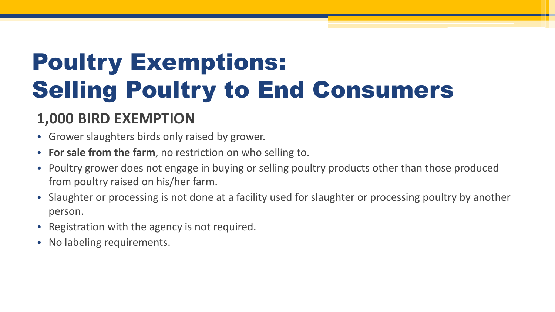# Poultry Exemptions: Selling Poultry to End Consumers

### **1,000 BIRD EXEMPTION**

- Grower slaughters birds only raised by grower.
- **For sale from the farm**, no restriction on who selling to.
- Poultry grower does not engage in buying or selling poultry products other than those produced from poultry raised on his/her farm.
- Slaughter or processing is not done at a facility used for slaughter or processing poultry by another person.
- Registration with the agency is not required.
- No labeling requirements.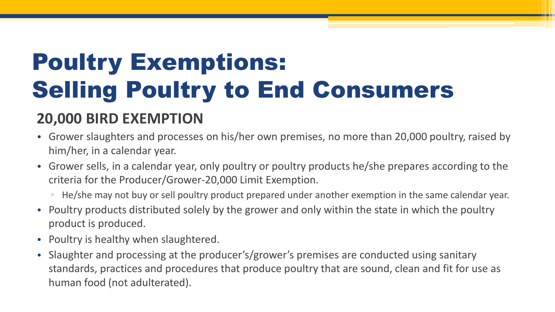# Poultry Exemptions: Selling Poultry to End Consumers

### **20,000 BIRD EXEMPTION**

- Grower slaughters and processes on his/her own premises, no more than 20,000 poultry, raised by him/her, in a calendar year.
- Grower sells, in a calendar year, only poultry or poultry products he/she prepares according to the criteria for the Producer/Grower-20,000 Limit Exemption.
	- He/she may not buy or sell poultry product prepared under another exemption in the same calendar year.
- Poultry products distributed solely by the grower and only within the state in which the poultry product is produced.
- Poultry is healthy when slaughtered.
- Slaughter and processing at the producer's/grower's premises are conducted using sanitary standards, practices and procedures that produce poultry that are sound, clean and fit for use as human food (not adulterated).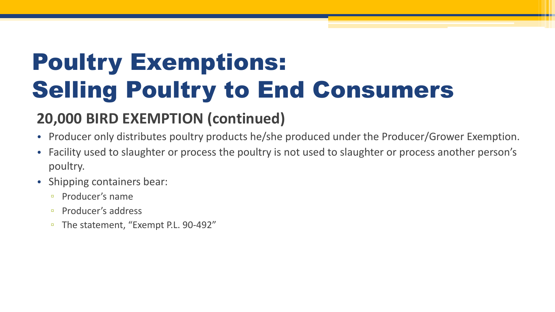# Poultry Exemptions: Selling Poultry to End Consumers

### **20,000 BIRD EXEMPTION (continued)**

- Producer only distributes poultry products he/she produced under the Producer/Grower Exemption.
- Facility used to slaughter or process the poultry is not used to slaughter or process another person's poultry.
- Shipping containers bear:
	- Producer's name
	- □ Producer's address
	- The statement, "Exempt P.L. 90-492"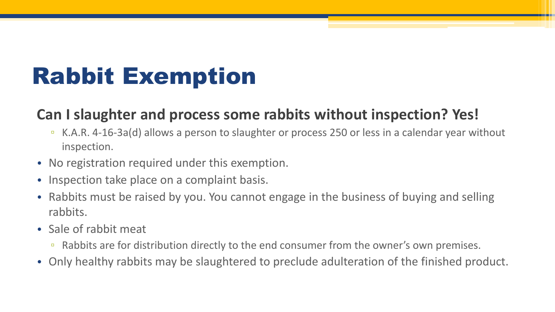### Rabbit Exemption

### **Can I slaughter and process some rabbits without inspection? Yes!**

- K.A.R. 4-16-3a(d) allows a person to slaughter or process 250 or less in a calendar year without inspection.
- No registration required under this exemption.
- Inspection take place on a complaint basis.
- Rabbits must be raised by you. You cannot engage in the business of buying and selling rabbits.
- Sale of rabbit meat
	- Rabbits are for distribution directly to the end consumer from the owner's own premises.
- Only healthy rabbits may be slaughtered to preclude adulteration of the finished product.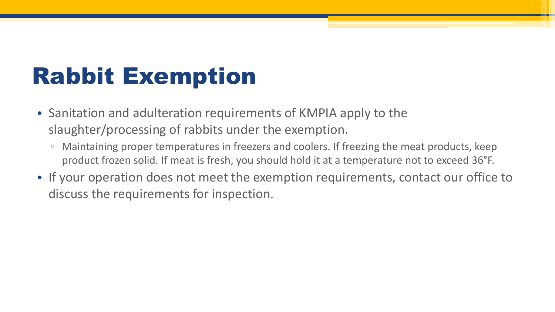### Rabbit Exemption

- Sanitation and adulteration requirements of KMPIA apply to the slaughter/processing of rabbits under the exemption.
	- <sup>n</sup> Maintaining proper temperatures in freezers and coolers. If freezing the meat products, keep product frozen solid. If meat is fresh, you should hold it at a temperature not to exceed 36°F.
- If your operation does not meet the exemption requirements, contact our office to discuss the requirements for inspection.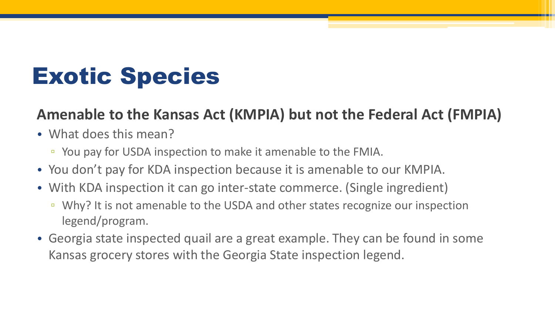### Exotic Species

### **Amenable to the Kansas Act (KMPIA) but not the Federal Act (FMPIA)**

- What does this mean?
	- You pay for USDA inspection to make it amenable to the FMIA.
- You don't pay for KDA inspection because it is amenable to our KMPIA.
- With KDA inspection it can go inter-state commerce. (Single ingredient)
	- Why? It is not amenable to the USDA and other states recognize our inspection legend/program.
- Georgia state inspected quail are a great example. They can be found in some Kansas grocery stores with the Georgia State inspection legend.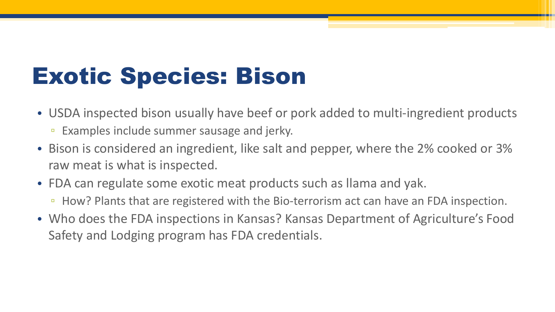### Exotic Species: Bison

- USDA inspected bison usually have beef or pork added to multi-ingredient products
	- Examples include summer sausage and jerky.
- Bison is considered an ingredient, like salt and pepper, where the 2% cooked or 3% raw meat is what is inspected.
- FDA can regulate some exotic meat products such as llama and yak.
	- How? Plants that are registered with the Bio-terrorism act can have an FDA inspection.
- Who does the FDA inspections in Kansas? Kansas Department of Agriculture's Food Safety and Lodging program has FDA credentials.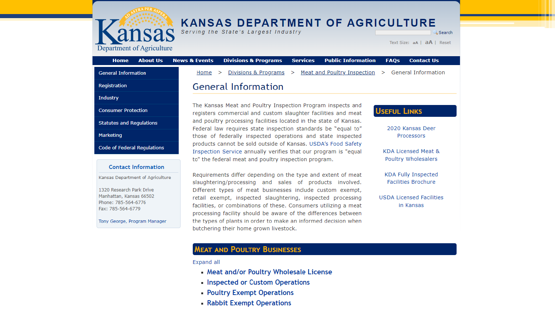

# **A SERVING ANSAS DEPARTMENT OF AGRICULTURE**

Search

Text Size: aA | aA | Reset

Department of Agriculture

| Meat and Poultry Inspection<br>> General Information<br>Divisions & Programs<br><b>General Information</b><br>Home<br>⋗<br>⋗<br><b>General Information</b><br>Registration<br><b>Industry</b><br>The Kansas Meat and Poultry Inspection Program inspects and<br><b>USEFUL LINKS</b><br><b>Consumer Protection</b><br>registers commercial and custom slaughter facilities and meat<br>and poultry processing facilities located in the state of Kansas.<br><b>Statutes and Regulations</b><br>2020 Kansas Deer<br>Federal law requires state inspection standards be "equal to"<br>Marketing<br>those of federally inspected operations and state inspected<br>Processors<br>products cannot be sold outside of Kansas. USDA's Food Safety<br>Code of Federal Regulations<br>KDA Licensed Meat &<br>Inspection Service annually verifies that our program is "equal<br>Poultry Wholesalers<br>to" the federal meat and poultry inspection program.<br><b>Contact Information</b><br>KDA Fully Inspected<br>Requirements differ depending on the type and extent of meat<br>Kansas Department of Agriculture<br>Facilities Brochure<br>slaughtering/processing and sales of products involved.<br>1320 Research Park Drive<br>Different types of meat businesses include custom exempt,<br>Manhattan, Kansas 66502<br><b>USDA Licensed Facilities</b><br>retail exempt, inspected slaughtering, inspected processing<br>Phone: 785-564-6776<br>facilities, or combinations of these. Consumers utilizing a meat<br>in Kansas<br>Fax: 785-564-6779<br>processing facility should be aware of the differences between<br>the types of plants in order to make an informed decision when<br>Tony George, Program Manager<br>butchering their home grown livestock. | <b>About Us</b><br><b>Home</b> | <b>Public Information</b><br><b>News &amp; Events</b><br><b>Divisions &amp; Programs</b><br><b>Services</b><br><b>FAOs</b><br><b>Contact Us</b> |
|----------------------------------------------------------------------------------------------------------------------------------------------------------------------------------------------------------------------------------------------------------------------------------------------------------------------------------------------------------------------------------------------------------------------------------------------------------------------------------------------------------------------------------------------------------------------------------------------------------------------------------------------------------------------------------------------------------------------------------------------------------------------------------------------------------------------------------------------------------------------------------------------------------------------------------------------------------------------------------------------------------------------------------------------------------------------------------------------------------------------------------------------------------------------------------------------------------------------------------------------------------------------------------------------------------------------------------------------------------------------------------------------------------------------------------------------------------------------------------------------------------------------------------------------------------------------------------------------------------------------------------------------------------------------------------------------------------------------------------------------------------------|--------------------------------|-------------------------------------------------------------------------------------------------------------------------------------------------|
|                                                                                                                                                                                                                                                                                                                                                                                                                                                                                                                                                                                                                                                                                                                                                                                                                                                                                                                                                                                                                                                                                                                                                                                                                                                                                                                                                                                                                                                                                                                                                                                                                                                                                                                                                                |                                |                                                                                                                                                 |
|                                                                                                                                                                                                                                                                                                                                                                                                                                                                                                                                                                                                                                                                                                                                                                                                                                                                                                                                                                                                                                                                                                                                                                                                                                                                                                                                                                                                                                                                                                                                                                                                                                                                                                                                                                |                                |                                                                                                                                                 |
|                                                                                                                                                                                                                                                                                                                                                                                                                                                                                                                                                                                                                                                                                                                                                                                                                                                                                                                                                                                                                                                                                                                                                                                                                                                                                                                                                                                                                                                                                                                                                                                                                                                                                                                                                                |                                |                                                                                                                                                 |
|                                                                                                                                                                                                                                                                                                                                                                                                                                                                                                                                                                                                                                                                                                                                                                                                                                                                                                                                                                                                                                                                                                                                                                                                                                                                                                                                                                                                                                                                                                                                                                                                                                                                                                                                                                |                                |                                                                                                                                                 |
|                                                                                                                                                                                                                                                                                                                                                                                                                                                                                                                                                                                                                                                                                                                                                                                                                                                                                                                                                                                                                                                                                                                                                                                                                                                                                                                                                                                                                                                                                                                                                                                                                                                                                                                                                                |                                |                                                                                                                                                 |
|                                                                                                                                                                                                                                                                                                                                                                                                                                                                                                                                                                                                                                                                                                                                                                                                                                                                                                                                                                                                                                                                                                                                                                                                                                                                                                                                                                                                                                                                                                                                                                                                                                                                                                                                                                |                                |                                                                                                                                                 |
|                                                                                                                                                                                                                                                                                                                                                                                                                                                                                                                                                                                                                                                                                                                                                                                                                                                                                                                                                                                                                                                                                                                                                                                                                                                                                                                                                                                                                                                                                                                                                                                                                                                                                                                                                                |                                |                                                                                                                                                 |
|                                                                                                                                                                                                                                                                                                                                                                                                                                                                                                                                                                                                                                                                                                                                                                                                                                                                                                                                                                                                                                                                                                                                                                                                                                                                                                                                                                                                                                                                                                                                                                                                                                                                                                                                                                |                                |                                                                                                                                                 |
|                                                                                                                                                                                                                                                                                                                                                                                                                                                                                                                                                                                                                                                                                                                                                                                                                                                                                                                                                                                                                                                                                                                                                                                                                                                                                                                                                                                                                                                                                                                                                                                                                                                                                                                                                                |                                |                                                                                                                                                 |
|                                                                                                                                                                                                                                                                                                                                                                                                                                                                                                                                                                                                                                                                                                                                                                                                                                                                                                                                                                                                                                                                                                                                                                                                                                                                                                                                                                                                                                                                                                                                                                                                                                                                                                                                                                |                                |                                                                                                                                                 |
|                                                                                                                                                                                                                                                                                                                                                                                                                                                                                                                                                                                                                                                                                                                                                                                                                                                                                                                                                                                                                                                                                                                                                                                                                                                                                                                                                                                                                                                                                                                                                                                                                                                                                                                                                                |                                |                                                                                                                                                 |

#### **MEAT AND POULTRY BUSINESSES**

Expand all

- Meat and/or Poultry Wholesale License
- Inspected or Custom Operations
- Poultry Exempt Operations
- Rabbit Exempt Operations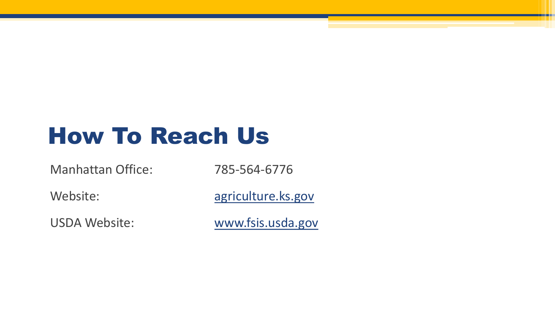### How To Reach Us

Manhattan Office: 785-564-6776

Website: [agriculture.ks.gov](http://ag-apps.kda.state.ks.us:7778/forms/frmservlet?config=recshttp://agriculture.ks.gov/divisions-programs/meat-and-poultry-inspection)

USDA Website: [www.fsis.usda.gov](http://www.fsis.usda.gov/)